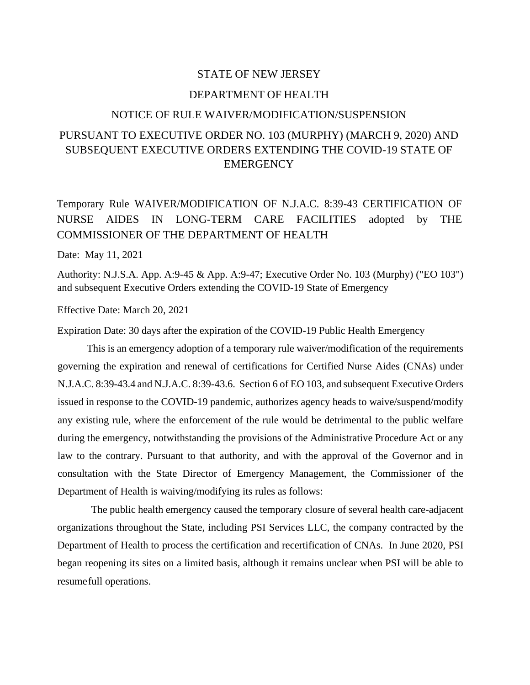### STATE OF NEW JERSEY

### DEPARTMENT OF HEALTH

### NOTICE OF RULE WAIVER/MODIFICATION/SUSPENSION

# PURSUANT TO EXECUTIVE ORDER NO. 103 (MURPHY) (MARCH 9, 2020) AND SUBSEQUENT EXECUTIVE ORDERS EXTENDING THE COVID-19 STATE OF **EMERGENCY**

# Temporary Rule WAIVER/MODIFICATION OF N.J.A.C. 8:39-43 CERTIFICATION OF NURSE AIDES IN LONG-TERM CARE FACILITIES adopted by THE COMMISSIONER OF THE DEPARTMENT OF HEALTH

### Date: May 11, 2021

Authority: N.J.S.A. App. A:9-45 & App. A:9-47; Executive Order No. 103 (Murphy) ("EO 103") and subsequent Executive Orders extending the COVID-19 State of Emergency

Effective Date: March 20, 2021

Expiration Date: 30 days after the expiration of the COVID-19 Public Health Emergency

This is an emergency adoption of a temporary rule waiver/modification of the requirements governing the expiration and renewal of certifications for Certified Nurse Aides (CNAs) under N.J.A.C. 8:39-43.4 and N.J.A.C. 8:39-43.6. Section 6 of EO 103, and subsequent Executive Orders issued in response to the COVID-19 pandemic, authorizes agency heads to waive/suspend/modify any existing rule, where the enforcement of the rule would be detrimental to the public welfare during the emergency, notwithstanding the provisions of the Administrative Procedure Act or any law to the contrary. Pursuant to that authority, and with the approval of the Governor and in consultation with the State Director of Emergency Management, the Commissioner of the Department of Health is waiving/modifying its rules as follows:

The public health emergency caused the temporary closure of several health care-adjacent organizations throughout the State, including PSI Services LLC, the company contracted by the Department of Health to process the certification and recertification of CNAs. In June 2020, PSI began reopening its sites on a limited basis, although it remains unclear when PSI will be able to resume full operations.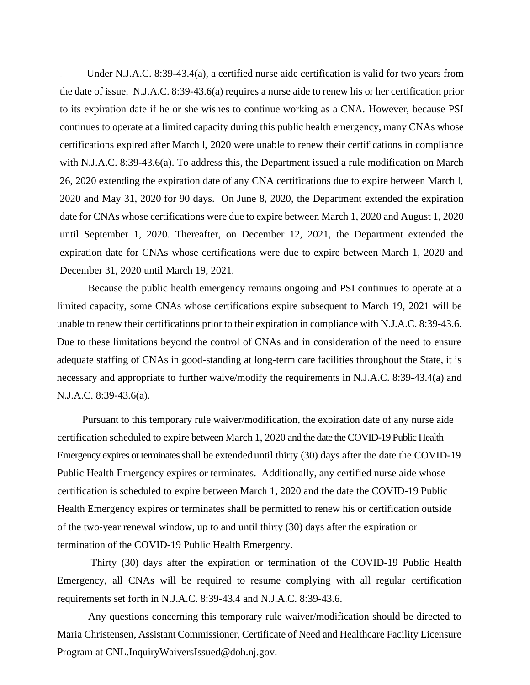Under N.J.A.C. 8:39-43.4(a), a certified nurse aide certification is valid for two years from the date of issue. N.J.A.C. 8:39-43.6(a) requires a nurse aide to renew his or her certification prior to its expiration date if he or she wishes to continue working as a CNA. However, because PSI continues to operate at a limited capacity during this public health emergency, many CNAs whose certifications expired after March l, 2020 were unable to renew their certifications in compliance with N.J.A.C. 8:39-43.6(a). To address this, the Department issued a rule modification on March 26, 2020 extending the expiration date of any CNA certifications due to expire between March l, 2020 and May 31, 2020 for 90 days. On June 8, 2020, the Department extended the expiration date for CNAs whose certifications were due to expire between March 1, 2020 and August 1, 2020 until September 1, 2020. Thereafter, on December 12, 2021, the Department extended the expiration date for CNAs whose certifications were due to expire between March 1, 2020 and December 31, 2020 until March 19, 2021.

Because the public health emergency remains ongoing and PSI continues to operate at a limited capacity, some CNAs whose certifications expire subsequent to March 19, 2021 will be unable to renew their certifications prior to their expiration in compliance with N.J.A.C. 8:39-43.6. Due to these limitations beyond the control of CNAs and in consideration of the need to ensure adequate staffing of CNAs in good-standing at long-term care facilities throughout the State, it is necessary and appropriate to further waive/modify the requirements in N.J.A.C. 8:39-43.4(a) and N.J.A.C. 8:39-43.6(a).

Pursuant to this temporary rule waiver/modification, the expiration date of any nurse aide certification scheduled to expire between March 1, 2020 and the date the COVID-19 Public Health Emergency expires or terminates shall be extended until thirty (30) days after the date the COVID-19 Public Health Emergency expires or terminates. Additionally, any certified nurse aide whose certification is scheduled to expire between March 1, 2020 and the date the COVID-19 Public Health Emergency expires or terminates shall be permitted to renew his or certification outside of the two-year renewal window, up to and until thirty (30) days after the expiration or termination of the COVID-19 Public Health Emergency.

Thirty (30) days after the expiration or termination of the COVID-19 Public Health Emergency, all CNAs will be required to resume complying with all regular certification requirements set forth in N.J.A.C. 8:39-43.4 and N.J.A.C. 8:39-43.6.

Any questions concerning this temporary rule waiver/modification should be directed to Maria Christensen, Assistant Commissioner, Certificate of Need and Healthcare Facility Licensure Program at CNL.InquiryWaiversIssued@doh.nj.gov.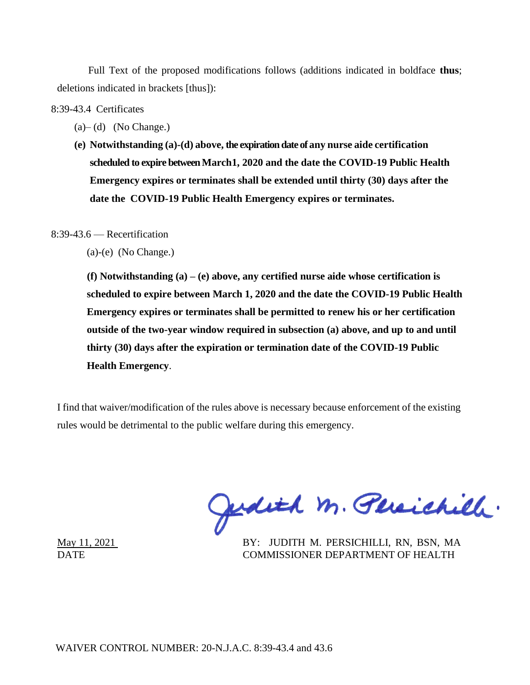Full Text of the proposed modifications follows (additions indicated in boldface **thus**; deletions indicated in brackets [thus]):

8:39-43.4 Certificates

- $(a)$  (d) (No Change.)
- **(e) Notwithstanding (a)-(d) above, the expiration date of any nurse aide certification scheduled to expire betweenMarch1, 2020 and the date the COVID-19 Public Health Emergency expires or terminates shall be extended until thirty (30) days after the date the COVID-19 Public Health Emergency expires or terminates.**

8:39-43.6 — Recertification

(a)-(e) (No Change.)

**(f) Notwithstanding (a) – (e) above, any certified nurse aide whose certification is scheduled to expire between March 1, 2020 and the date the COVID-19 Public Health Emergency expires or terminates shall be permitted to renew his or her certification outside of the two-year window required in subsection (a) above, and up to and until thirty (30) days after the expiration or termination date of the COVID-19 Public Health Emergency**.

I find that waiver/modification of the rules above is necessary because enforcement of the existing rules would be detrimental to the public welfare during this emergency.

Judith M. Persichill.

May 11, 2021 BY: JUDITH M. PERSICHILLI, RN, BSN, MA DATE COMMISSIONER DEPARTMENT OF HEALTH